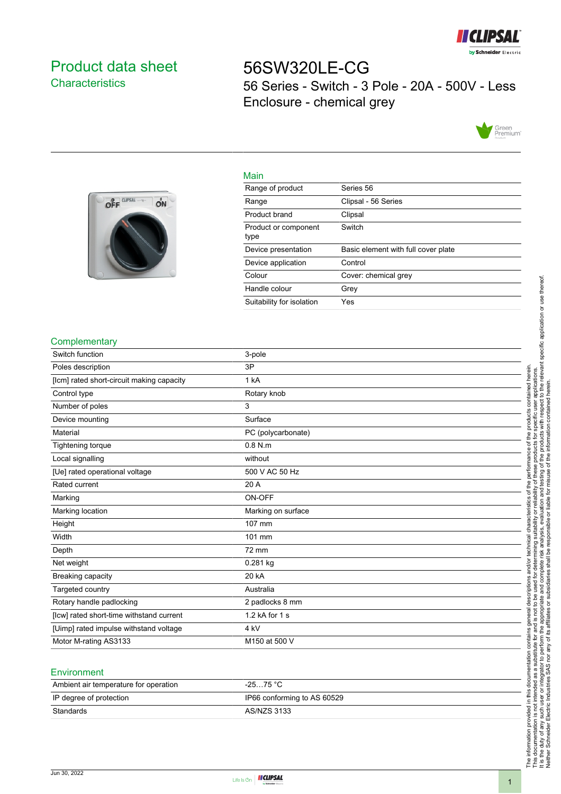

# <span id="page-0-0"></span>Product data sheet **Characteristics**

# 56SW320LE-CG 56 Series - Switch - 3 Pole - 20A - 500V - Less Enclosure - chemical grey





| Range of product             | Series 56                           |
|------------------------------|-------------------------------------|
| Range                        | Clipsal - 56 Series                 |
| Product brand                | Clipsal                             |
| Product or component<br>type | Switch                              |
| Device presentation          | Basic element with full cover plate |
| Device application           | Control                             |

Colour Cover: chemical grey

Handle colour Grey Suitability for isolation Yes

### **Complementary**

| Switch function                           | 3-pole             |
|-------------------------------------------|--------------------|
| Poles description                         | 3P                 |
| [lcm] rated short-circuit making capacity | 1 kA               |
| Control type                              | Rotary knob        |
| Number of poles                           | 3                  |
| Device mounting                           | Surface            |
| Material                                  | PC (polycarbonate) |
| Tightening torque                         | $0.8$ N.m          |
| Local signalling                          | without            |
| [Ue] rated operational voltage            | 500 V AC 50 Hz     |
| Rated current                             | 20 A               |
| Marking                                   | ON-OFF             |
| Marking location                          | Marking on surface |
| Height                                    | 107 mm             |
| Width                                     | 101 mm             |
| Depth                                     | 72 mm              |
| Net weight                                | $0.281$ kg         |
| Breaking capacity                         | 20 kA              |
| Targeted country                          | Australia          |
| Rotary handle padlocking                  | 2 padlocks 8 mm    |
| [Icw] rated short-time withstand current  | 1.2 kA for 1 s     |
| [Uimp] rated impulse withstand voltage    | 4 kV               |
| Motor M-rating AS3133                     | M150 at 500 V      |
|                                           |                    |

Main

#### **Environment**

| Ambient air temperature for operation | -25…75 °C                   |
|---------------------------------------|-----------------------------|
| IP degree of protection               | IP66 conforming to AS 60529 |
| Standards                             | AS/NZS 3133                 |